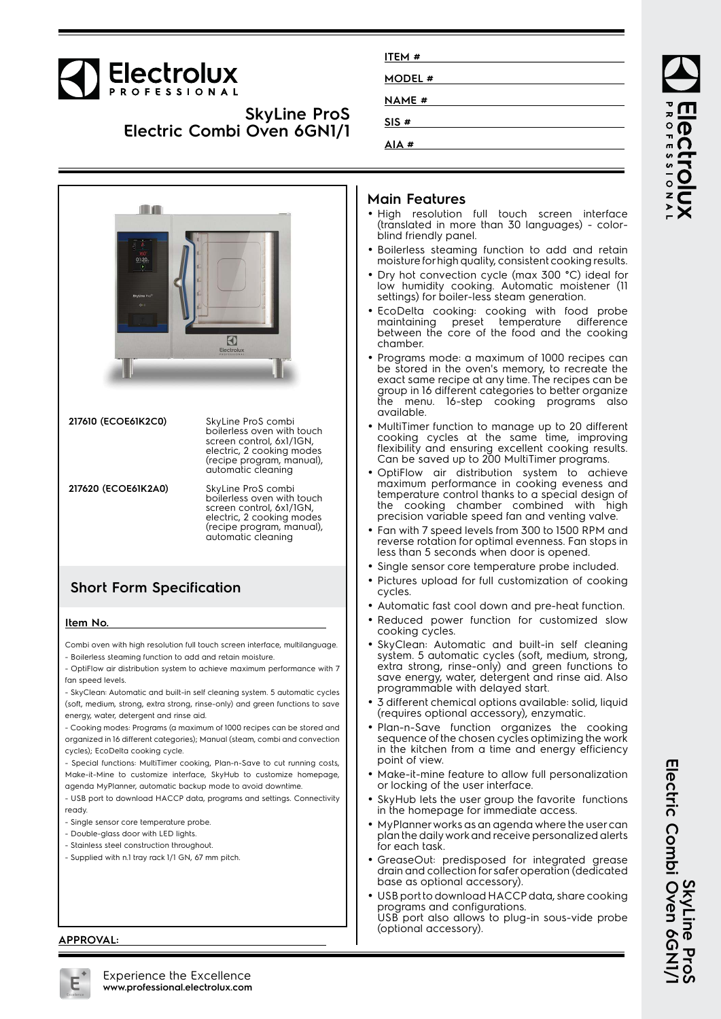# Electrolux

## **SkyLine ProS Electric Combi Oven 6GN1/1**

| ITEM #        |  |
|---------------|--|
| MODEL #       |  |
| <b>NAME</b> # |  |
| SIS#          |  |
| AIA#          |  |
|               |  |

ROFESSIONA

BCCL



- Supplied with n.1 tray rack 1/1 GN, 67 mm pitch.

#### **Main Features**

- High resolution full touch screen interface (translated in more than 30 languages) - colorblind friendly panel.
- Boilerless steaming function to add and retain moisture for high quality, consistent cooking results.
- Dry hot convection cycle (max 300 °C) ideal for low humidity cooking. Automatic moistener (11 settings) for boiler-less steam generation.
- EcoDelta cooking: cooking with food probe maintaining preset temperature difference between the core of the food and the cooking chamber.
- Programs mode: a maximum of 1000 recipes can be stored in the oven's memory, to recreate the exact same recipe at any time. The recipes can be group in 16 different categories to better organize the menu. 16-step cooking programs also available.
- MultiTimer function to manage up to 20 different cooking cycles at the same time, improving flexibility and ensuring excellent cooking results. Can be saved up to 200 MultiTimer programs.
- OptiFlow air distribution system to achieve maximum performance in cooking eveness and temperature control thanks to a special design of the cooking chamber combined with high precision variable speed fan and venting valve.
- Fan with 7 speed levels from 300 to 1500 RPM and reverse rotation for optimal evenness. Fan stops in less than 5 seconds when door is opened.
- Single sensor core temperature probe included.
- Pictures upload for full customization of cooking
- Automatic fast cool down and pre-heat function.
- Reduced power function for customized slow cooking cycles.
- SkyClean: Automatic and built-in self cleaning system. 5 automatic cycles (soft, medium, strong, extra strong, rinse-only) and green functions to save energy, water, detergent and rinse aid. Also programmable with delayed start.
- 3 different chemical options available: solid, liquid (requires optional accessory), enzymatic.
- Plan-n-Save function organizes the cooking sequence of the chosen cycles optimizing the work in the kitchen from a time and energy efficiency point of view.
- Make-it-mine feature to allow full personalization or locking of the user interface.
- SkyHub lets the user group the favorite functions in the homepage for immediate access.
- MyPlanner works as an agenda where the user can plan the daily work and receive personalized alerts for each task.
- GreaseOut: predisposed for integrated grease drain and collection for safer operation (dedicated base as optional accessory).
- • USB port to download HACCP data, share cooking programs and configurations. USB port also allows to plug-in sous-vide probe (optional accessory).



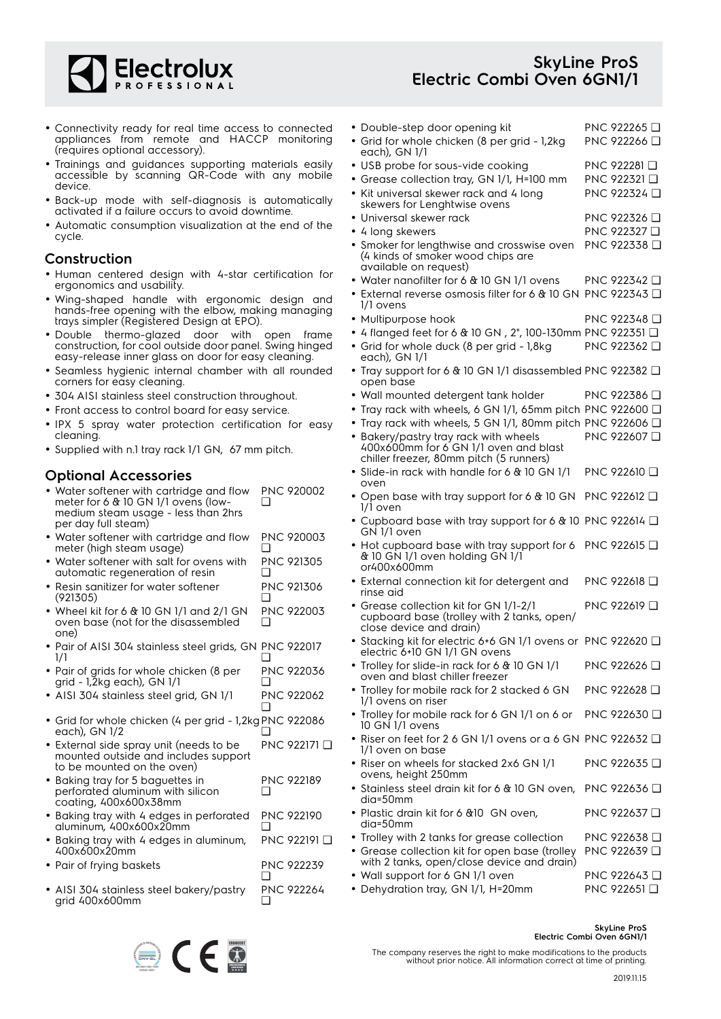

#### **SkyLine ProS Electric Combi Oven 6GN1/1**

PNC 922266 ❑

• Double-step door opening kit PNC 922265 ❑

• Grid for whole chicken (8 per grid - 1,2kg

- Connectivity ready for real time access to connected appliances from remote and HACCP monitoring (requires optional accessory).
- Trainings and guidances supporting materials easily accessible by scanning QR-Code with any mobile device.
- Back-up mode with self-diagnosis is automatically activated if a failure occurs to avoid downtime.
- Automatic consumption visualization at the end of the cycle.

#### **Construction**

- Human centered design with 4-star certification for ergonomics and usability.
- Wing-shaped handle with ergonomic design and hands-free opening with the elbow, making managing trays simpler (Registered Design at EPO).
- Double thermo-glazed door with open frame construction, for cool outside door panel. Swing hinged easy-release inner glass on door for easy cleaning.
- Seamless hygienic internal chamber with all rounded corners for easy cleaning.
- 304 AISI stainless steel construction throughout.
- Front access to control board for easy service.
- IPX 5 spray water protection certification for easy cleaning.
- Supplied with n.1 tray rack 1/1 GN, 67 mm pitch.

#### **Optional Accessories**

- Water softener with cartridge and flow meter for 6 & 10 GN 1/1 ovens (lowmedium steam usage - less than 2hrs per day full steam) PNC 920002 ❑
- Water softener with cartridge and flow meter (high steam usage) PNC 920003  $\Box$
- Water softener with salt for ovens with automatic regeneration of resin PNC 921305 ❑
- • Resin sanitizer for water softener (921305) PNC 921306 ❑
- Wheel kit for 6 & 10 GN 1/1 and 2/1 GN oven base (not for the disassembled one) PNC 922003 ❑
- Pair of AISI 304 stainless steel grids, GN PNC 922017 1/1  $\Box$
- Pair of grids for whole chicken (8 per grid - 1,2kg each), GN 1/1 PNC 922036 ❑
- AISI 304 stainless steel grid, GN 1/1 PNC 922062  $\Box$
- Grid for whole chicken (4 per grid 1,2kg PNC 922086 each), GN 1/2 ❑
- External side spray unit (needs to be mounted outside and includes support to be mounted on the oven) PNC 922171 ❑
- Baking tray for 5 baguettes in perforated aluminum with silicon coating, 400x600x38mm PNC 922189  $\Box$
- Baking tray with 4 edges in perforated aluminum, 400x600x20mm PNC 922190 ❑
- Baking tray with 4 edges in aluminum, 400x600x20mm PNC 922191 ❑ • Pair of frying baskets PNC 922239
- ❑ • AISI 304 stainless steel bakery/pastry grid 400x600mm PNC 922264 ❑
- each), GN 1/1 • USB probe for sous-vide cooking PNC 922281 □ • Grease collection tray, GN 1/1, H=100 mm PNC 922321 ❑ • Kit universal skewer rack and 4 long skewers for Lenghtwise ovens PNC 922324 ❑ • Universal skewer rack PNC 922326 ❑ • 4 long skewers PNC 922327 ❑ • Smoker for lengthwise and crosswise oven (4 kinds of smoker wood chips are available on request) PNC 922338 ❑ • Water nanofilter for 6 & 10 GN 1/1 ovens PNC 922342 ❑ • External reverse osmosis filter for 6 & 10 GN PNC 922343 ❑ 1/1 ovens • Multipurpose hook PNC 922348 ❑ • 4 flanged feet for 6 & 10 GN , 2", 100-130mm PNC 922351 ❑ • Grid for whole duck (8 per grid - 1,8kg each), GN 1/1 PNC 922362 ❑ • Tray support for 6 & 10 GN 1/1 disassembled PNC 922382 ❑ open base • Wall mounted detergent tank holder PNC 922386 ❑ • Tray rack with wheels, 6 GN 1/1, 65mm pitch PNC 922600 ❑ • Tray rack with wheels, 5 GN 1/1, 80mm pitch PNC 922606 ❑ • Bakery/pastry tray rack with wheels 400x600mm for 6 GN 1/1 oven and blast chiller freezer, 80mm pitch (5 runners) PNC 922607 ❑ • Slide-in rack with handle for 6 & 10 GN 1/1 oven PNC 922610 ❑ • Open base with tray support for 6 & 10 GN PNC 922612 ❑ 1/1 oven • Cupboard base with tray support for 6 & 10 PNC 922614 ❑ GN 1/1 oven • Hot cupboard base with tray support for 6 PNC 922615 ❑ & 10 GN 1/1 oven holding GN 1/1 or400x600mm • External connection kit for detergent and rinse aid PNC 922618 ❑ • Grease collection kit for GN 1/1-2/1 cupboard base (trolley with 2 tanks, open/ close device and drain) PNC 922619 ❑ • Stacking kit for electric 6+6 GN 1/1 ovens or PNC 922620 ❑ electric 6+10 GN 1/1 GN ovens • Trolley for slide-in rack for 6 & 10 GN 1/1 oven and blast chiller freezer PNC 922626 ❑ • Trolley for mobile rack for 2 stacked 6 GN 1/1 ovens on riser PNC 922628 ❑ • Trolley for mobile rack for 6 GN 1/1 on 6 or 10 GN 1/1 ovens PNC 922630 ❑ •• Riser on feet for 2 6 GN 1/1 ovens or a 6 GN PNC 922632 □ 1/1 oven on base • Riser on wheels for stacked 2x6 GN 1/1 ovens, height 250mm PNC 922635 ❑ • Stainless steel drain kit for 6 & 10 GN oven, dia=50mm PNC 922636 ❑ • Plastic drain kit for 6 &10 GN oven, dia=50mm PNC 922637 ❑
	- Trolley with 2 tanks for grease collection PNC 922638 ❑ • Grease collection kit for open base (trolley with 2 tanks, open/close device and drain) PNC 922639 ❑ •Vall support for 6 GN 1/1 oven PNC 922643 □
- Dehydration tray, GN 1/1, H=20mm PNC 922651 ❑



**SkyLine ProS Electric Combi Oven 6GN1/1**

The company reserves the right to make modifications to the products without prior notice. All information correct at time of printing.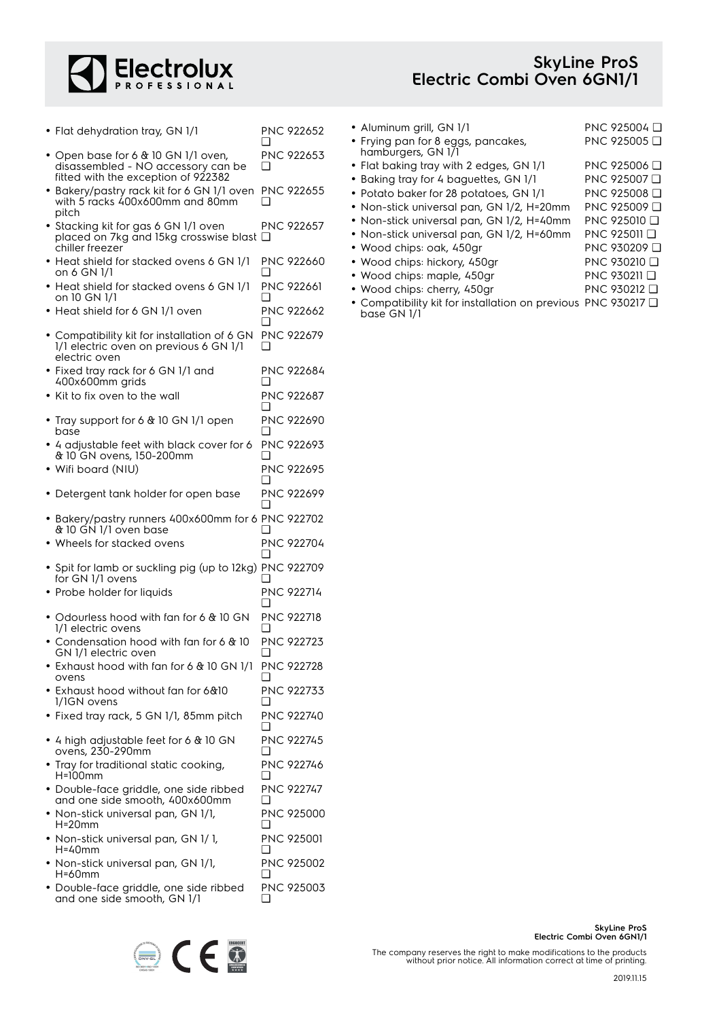

## **SkyLine ProS Electric Combi Oven 6GN1/1**

- Flat dehydration tray, GN 1/1 PNC 922652  $\Box$
- Open base for 6 & 10 GN 1/1 oven, disassembled - NO accessory can be fitted with the exception of 922382 PNC 922653 ❑
- Bakery/pastry rack kit for 6 GN 1/1 oven with 5 racks 400x600mm and 80mm pitch PNC 922655 ❑
- Stacking kit for gas 6 GN 1/1 oven placed on 7kg and 15kg crosswise blast ❑ chiller freezer PNC 922657
- Heat shield for stacked ovens 6 GN 1/1 on 6 GN 1/1 PNC 922660 ❑
- Heat shield for stacked ovens 6 GN 1/1 on 10 GN 1/1 PNC 922661 ❑
- Heat shield for 6 GN 1/1 oven PNC 922662  $\Box$
- • Compatibility kit for installation of 6 GN 1/1 electric oven on previous 6 GN 1/1 electric oven PNC 922679  $\Box$
- Fixed tray rack for 6 GN 1/1 and 400x600mm grids PNC 922684 ❑
- Kit to fix oven to the wall PNC 922687 ❑
- Tray support for 6 & 10 GN 1/1 open base PNC 922690 ❑
- • 4 adjustable feet with black cover for 6 & 10 GN ovens, 150-200mm PNC 922693 ❑
- Wifi board (NIU) PNC 922695 ❑
- Detergent tank holder for open base PNC 922699 ❑
- Bakery/pastry runners 400x600mm for 6 PNC 922702 & 10 GN 1/1 oven base ❑
- Wheels for stacked ovens PNC 922704 ❑ • Spit for lamb or suckling pig (up to 12kg) PNC 922709
- for GN 1/1 ovens ❑ • Probe holder for liquids PNC 922714
- ❑ • Odourless hood with fan for 6 & 10 GN 1/1 electric ovens PNC 922718  $\Box$
- • Condensation hood with fan for 6 & 10 GN 1/1 electric oven PNC 922723  $\Box$
- Exhaust hood with fan for 6 & 10 GN 1/1 ovens PNC 922728 ❑
- Exhaust hood without fan for 6&10 1/1GN ovens PNC 922733 ❑ • Fixed tray rack, 5 GN 1/1, 85mm pitch PNC 922740
- $\Box$ • 4 high adjustable feet for 6 & 10 GN ovens, 230-290mm PNC 922745  $\Box$
- Tray for traditional static cooking, H=100mm PNC 922746  $\Box$
- Double-face griddle, one side ribbed and one side smooth, 400x600mm PNC 922747  $\Box$ • Non-stick universal pan, GN 1/1, H=20mm PNC 925000 ❑ • Non-stick universal pan, GN 1/ 1, PNC 925001
- H=40mm  $\Box$ • Non-stick universal pan, GN 1/1, H=60mm PNC 925002 ❑
- Double-face griddle, one side ribbed and one side smooth, GN 1/1 PNC 925003 ❑



- 
- Wood chips: maple, 450gr PNC 930211 □
- Wood chips: cherry, 450gr PNC 930212 ❑
- • Compatibility kit for installation on previous PNC 930217 ❑base GN 1/1